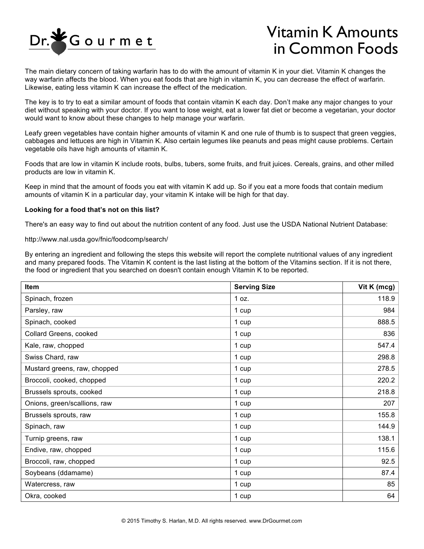

## Vitamin K Amounts in Common Foods

The main dietary concern of taking warfarin has to do with the amount of vitamin K in your diet. Vitamin K changes the way warfarin affects the blood. When you eat foods that are high in vitamin K, you can decrease the effect of warfarin. Likewise, eating less vitamin K can increase the effect of the medication.

The key is to try to eat a similar amount of foods that contain vitamin K each day. Don't make any major changes to your diet without speaking with your doctor. If you want to lose weight, eat a lower fat diet or become a vegetarian, your doctor would want to know about these changes to help manage your warfarin.

Leafy green vegetables have contain higher amounts of vitamin K and one rule of thumb is to suspect that green veggies, cabbages and lettuces are high in Vitamin K. Also certain legumes like peanuts and peas might cause problems. Certain vegetable oils have high amounts of vitamin K.

Foods that are low in vitamin K include roots, bulbs, tubers, some fruits, and fruit juices. Cereals, grains, and other milled products are low in vitamin K.

Keep in mind that the amount of foods you eat with vitamin K add up. So if you eat a more foods that contain medium amounts of vitamin K in a particular day, your vitamin K intake will be high for that day.

## **Looking for a food that's not on this list?**

There's an easy way to find out about the nutrition content of any food. Just use the USDA National Nutrient Database:

http://www.nal.usda.gov/fnic/foodcomp/search/

By entering an ingredient and following the steps this website will report the complete nutritional values of any ingredient and many prepared foods. The Vitamin K content is the last listing at the bottom of the Vitamins section. If it is not there, the food or ingredient that you searched on doesn't contain enough Vitamin K to be reported.

| Item                         | <b>Serving Size</b> | Vit K (mcg) |
|------------------------------|---------------------|-------------|
| Spinach, frozen              | 1 oz.               | 118.9       |
| Parsley, raw                 | 1 cup               | 984         |
| Spinach, cooked              | 1 cup               | 888.5       |
| Collard Greens, cooked       | 1 cup               | 836         |
| Kale, raw, chopped           | 1 cup               | 547.4       |
| Swiss Chard, raw             | 1 cup               | 298.8       |
| Mustard greens, raw, chopped | 1 cup               | 278.5       |
| Broccoli, cooked, chopped    | 1 cup               | 220.2       |
| Brussels sprouts, cooked     | 1 cup               | 218.8       |
| Onions, green/scallions, raw | 1 cup               | 207         |
| Brussels sprouts, raw        | 1 cup               | 155.8       |
| Spinach, raw                 | 1 cup               | 144.9       |
| Turnip greens, raw           | 1 cup               | 138.1       |
| Endive, raw, chopped         | 1 cup               | 115.6       |
| Broccoli, raw, chopped       | 1 cup               | 92.5        |
| Soybeans (ddamame)           | 1 cup               | 87.4        |
| Watercress, raw              | 1 cup               | 85          |
| Okra, cooked                 | 1 cup               | 64          |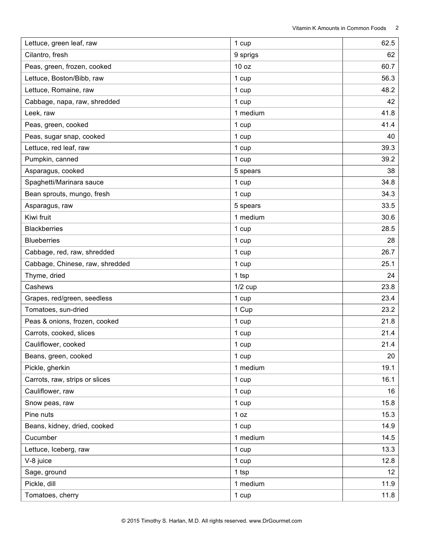| Lettuce, green leaf, raw        | 1 cup     | 62.5 |
|---------------------------------|-----------|------|
| Cilantro, fresh                 | 9 sprigs  | 62   |
| Peas, green, frozen, cooked     | 10 oz     | 60.7 |
| Lettuce, Boston/Bibb, raw       | 1 cup     | 56.3 |
| Lettuce, Romaine, raw           | 1 cup     | 48.2 |
| Cabbage, napa, raw, shredded    | 1 cup     | 42   |
| Leek, raw                       | 1 medium  | 41.8 |
| Peas, green, cooked             | 1 cup     | 41.4 |
| Peas, sugar snap, cooked        | 1 cup     | 40   |
| Lettuce, red leaf, raw          | 1 cup     | 39.3 |
| Pumpkin, canned                 | 1 cup     | 39.2 |
| Asparagus, cooked               | 5 spears  | 38   |
| Spaghetti/Marinara sauce        | 1 cup     | 34.8 |
| Bean sprouts, mungo, fresh      | 1 cup     | 34.3 |
| Asparagus, raw                  | 5 spears  | 33.5 |
| Kiwi fruit                      | 1 medium  | 30.6 |
| <b>Blackberries</b>             | 1 cup     | 28.5 |
| <b>Blueberries</b>              | 1 cup     | 28   |
| Cabbage, red, raw, shredded     | 1 cup     | 26.7 |
| Cabbage, Chinese, raw, shredded | 1 cup     | 25.1 |
| Thyme, dried                    | 1 tsp     | 24   |
| Cashews                         | $1/2$ cup | 23.8 |
| Grapes, red/green, seedless     | 1 cup     | 23.4 |
| Tomatoes, sun-dried             | 1 Cup     | 23.2 |
| Peas & onions, frozen, cooked   | 1 cup     | 21.8 |
| Carrots, cooked, slices         | 1 cup     | 21.4 |
| Cauliflower, cooked             | 1 cup     | 21.4 |
| Beans, green, cooked            | 1 cup     | 20   |
| Pickle, gherkin                 | 1 medium  | 19.1 |
| Carrots, raw, strips or slices  | 1 cup     | 16.1 |
| Cauliflower, raw                | 1 cup     | 16   |
| Snow peas, raw                  | 1 cup     | 15.8 |
| Pine nuts                       | 1 oz      | 15.3 |
| Beans, kidney, dried, cooked    | 1 cup     | 14.9 |
| Cucumber                        | 1 medium  | 14.5 |
| Lettuce, Iceberg, raw           | 1 cup     | 13.3 |
| V-8 juice                       | 1 cup     | 12.8 |
| Sage, ground                    | 1 tsp     | 12   |
| Pickle, dill                    | 1 medium  | 11.9 |
| Tomatoes, cherry                | 1 cup     | 11.8 |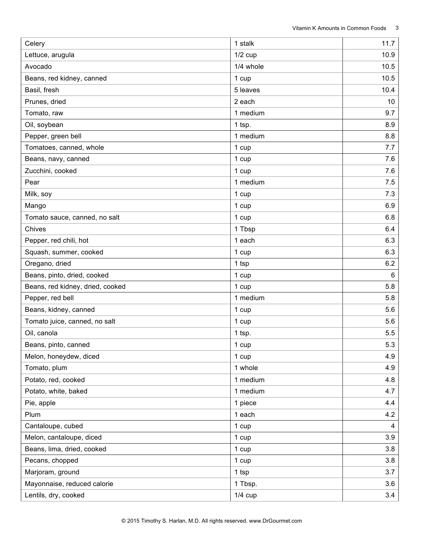| Celery                           | 1 stalk   | 11.7 |
|----------------------------------|-----------|------|
| Lettuce, arugula                 | $1/2$ cup | 10.9 |
| Avocado                          | 1/4 whole | 10.5 |
| Beans, red kidney, canned        | 1 cup     | 10.5 |
| Basil, fresh                     | 5 leaves  | 10.4 |
| Prunes, dried                    | 2 each    | 10   |
| Tomato, raw                      | 1 medium  | 9.7  |
| Oil, soybean                     | 1 tsp.    | 8.9  |
| Pepper, green bell               | 1 medium  | 8.8  |
| Tomatoes, canned, whole          | 1 cup     | 7.7  |
| Beans, navy, canned              | 1 cup     | 7.6  |
| Zucchini, cooked                 | 1 cup     | 7.6  |
| Pear                             | 1 medium  | 7.5  |
| Milk, soy                        | 1 cup     | 7.3  |
| Mango                            | 1 cup     | 6.9  |
| Tomato sauce, canned, no salt    | 1 cup     | 6.8  |
| Chives                           | 1 Tbsp    | 6.4  |
| Pepper, red chili, hot           | 1 each    | 6.3  |
| Squash, summer, cooked           | 1 cup     | 6.3  |
| Oregano, dried                   | 1 tsp     | 6.2  |
| Beans, pinto, dried, cooked      | 1 cup     | 6    |
| Beans, red kidney, dried, cooked | 1 cup     | 5.8  |
| Pepper, red bell                 | 1 medium  | 5.8  |
| Beans, kidney, canned            | 1 cup     | 5.6  |
| Tomato juice, canned, no salt    | 1 cup     | 5.6  |
| Oil, canola                      | 1 tsp.    | 5.5  |
| Beans, pinto, canned             | 1 cup     | 5.3  |
| Melon, honeydew, diced           | 1 cup     | 4.9  |
| Tomato, plum                     | 1 whole   | 4.9  |
| Potato, red, cooked              | 1 medium  | 4.8  |
| Potato, white, baked             | 1 medium  | 4.7  |
| Pie, apple                       | 1 piece   | 4.4  |
| Plum                             | 1 each    | 4.2  |
| Cantaloupe, cubed                | 1 cup     | 4    |
| Melon, cantaloupe, diced         | 1 cup     | 3.9  |
| Beans, lima, dried, cooked       | 1 cup     | 3.8  |
| Pecans, chopped                  | 1 cup     | 3.8  |
| Marjoram, ground                 | 1 tsp     | 3.7  |
| Mayonnaise, reduced calorie      | 1 Tbsp.   | 3.6  |
| Lentils, dry, cooked             | $1/4$ cup | 3.4  |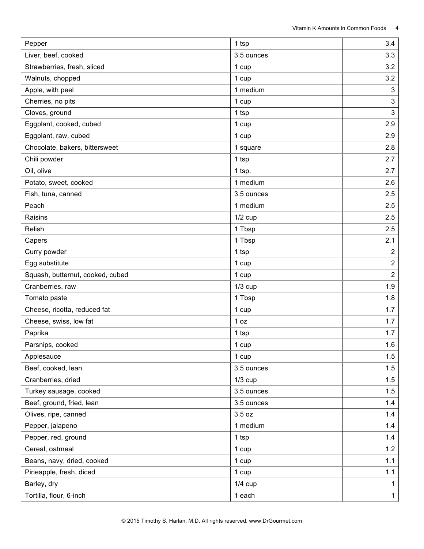| Pepper                           | 1 tsp      | 3.4            |
|----------------------------------|------------|----------------|
| Liver, beef, cooked              | 3.5 ounces | 3.3            |
| Strawberries, fresh, sliced      | 1 cup      | 3.2            |
| Walnuts, chopped                 | 1 cup      | 3.2            |
| Apple, with peel                 | 1 medium   | 3              |
| Cherries, no pits                | 1 cup      | 3              |
| Cloves, ground                   | 1 tsp      | $\mathfrak{S}$ |
| Eggplant, cooked, cubed          | 1 cup      | 2.9            |
| Eggplant, raw, cubed             | 1 cup      | 2.9            |
| Chocolate, bakers, bittersweet   | 1 square   | 2.8            |
| Chili powder                     | 1 tsp      | 2.7            |
| Oil, olive                       | 1 tsp.     | 2.7            |
| Potato, sweet, cooked            | 1 medium   | 2.6            |
| Fish, tuna, canned               | 3.5 ounces | 2.5            |
| Peach                            | 1 medium   | 2.5            |
| Raisins                          | $1/2$ cup  | 2.5            |
| Relish                           | 1 Tbsp     | 2.5            |
| Capers                           | 1 Tbsp     | 2.1            |
| Curry powder                     | 1 tsp      | $\sqrt{2}$     |
| Egg substitute                   | 1 cup      | $\overline{c}$ |
| Squash, butternut, cooked, cubed | 1 cup      | $\overline{2}$ |
| Cranberries, raw                 | $1/3$ cup  | 1.9            |
| Tomato paste                     | 1 Tbsp     | 1.8            |
| Cheese, ricotta, reduced fat     | 1 cup      | 1.7            |
| Cheese, swiss, low fat           | 1 oz       | 1.7            |
| Paprika                          | 1 tsp      | 1.7            |
| Parsnips, cooked                 | 1 cup      | 1.6            |
| Applesauce                       | 1 cup      | 1.5            |
| Beef, cooked, lean               | 3.5 ounces | 1.5            |
| Cranberries, dried               | $1/3$ cup  | 1.5            |
| Turkey sausage, cooked           | 3.5 ounces | 1.5            |
| Beef, ground, fried, lean        | 3.5 ounces | 1.4            |
| Olives, ripe, canned             | 3.5 oz     | 1.4            |
| Pepper, jalapeno                 | 1 medium   | 1.4            |
| Pepper, red, ground              | 1 tsp      | 1.4            |
| Cereal, oatmeal                  | 1 cup      | 1.2            |
| Beans, navy, dried, cooked       | 1 cup      | 1.1            |
| Pineapple, fresh, diced          | 1 cup      | 1.1            |
| Barley, dry                      | $1/4$ cup  | 1              |
| Tortilla, flour, 6-inch          | 1 each     | $\mathbf 1$    |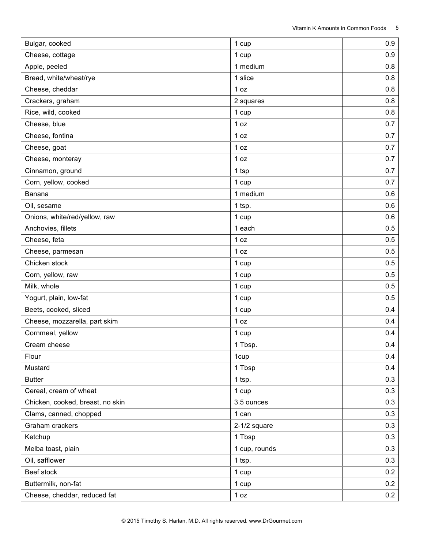| Bulgar, cooked                   | 1 cup          | 0.9 |
|----------------------------------|----------------|-----|
| Cheese, cottage                  | 1 cup          | 0.9 |
| Apple, peeled                    | 1 medium       | 0.8 |
| Bread, white/wheat/rye           | 1 slice        | 0.8 |
| Cheese, cheddar                  | 1 oz           | 0.8 |
| Crackers, graham                 | 2 squares      | 0.8 |
| Rice, wild, cooked               | 1 cup          | 0.8 |
| Cheese, blue                     | 1 oz           | 0.7 |
| Cheese, fontina                  | 1 oz           | 0.7 |
| Cheese, goat                     | 1 oz           | 0.7 |
| Cheese, monteray                 | 1 oz           | 0.7 |
| Cinnamon, ground                 | 1 tsp          | 0.7 |
| Corn, yellow, cooked             | 1 cup          | 0.7 |
| Banana                           | 1 medium       | 0.6 |
| Oil, sesame                      | 1 tsp.         | 0.6 |
| Onions, white/red/yellow, raw    | 1 cup          | 0.6 |
| Anchovies, fillets               | 1 each         | 0.5 |
| Cheese, feta                     | 1 oz           | 0.5 |
| Cheese, parmesan                 | 1 oz           | 0.5 |
| Chicken stock                    | 1 cup          | 0.5 |
| Corn, yellow, raw                | 1 cup          | 0.5 |
| Milk, whole                      | 1 cup          | 0.5 |
| Yogurt, plain, low-fat           | 1 cup          | 0.5 |
| Beets, cooked, sliced            | 1 cup          | 0.4 |
| Cheese, mozzarella, part skim    | 1 oz           | 0.4 |
| Cornmeal, yellow                 | 1 cup          | 0.4 |
| Cream cheese                     | 1 Tbsp.        | 0.4 |
| Flour                            | 1cup           | 0.4 |
| Mustard                          | 1 Tbsp         | 0.4 |
| <b>Butter</b>                    | 1 tsp.         | 0.3 |
| Cereal, cream of wheat           | 1 cup          | 0.3 |
| Chicken, cooked, breast, no skin | 3.5 ounces     | 0.3 |
| Clams, canned, chopped           | 1 can          | 0.3 |
| Graham crackers                  | $2-1/2$ square | 0.3 |
| Ketchup                          | 1 Tbsp         | 0.3 |
| Melba toast, plain               | 1 cup, rounds  | 0.3 |
| Oil, safflower                   | 1 tsp.         | 0.3 |
| Beef stock                       | 1 cup          | 0.2 |
| Buttermilk, non-fat              | 1 cup          | 0.2 |
| Cheese, cheddar, reduced fat     | 1 oz           | 0.2 |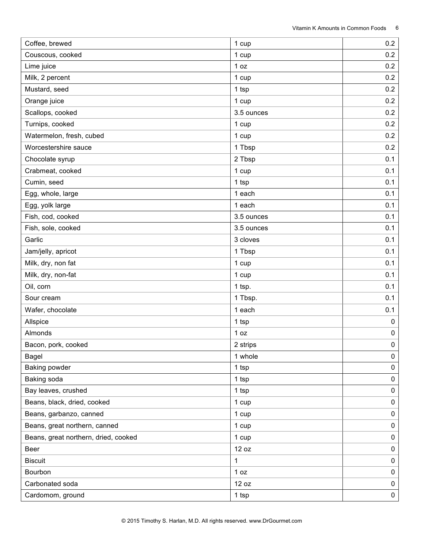| Coffee, brewed                       | 1 cup      | 0.2       |
|--------------------------------------|------------|-----------|
| Couscous, cooked                     | 1 cup      | 0.2       |
| Lime juice                           | 1 oz       | 0.2       |
| Milk, 2 percent                      | 1 cup      | 0.2       |
| Mustard, seed                        | 1 tsp      | 0.2       |
| Orange juice                         | 1 cup      | 0.2       |
| Scallops, cooked                     | 3.5 ounces | 0.2       |
| Turnips, cooked                      | 1 cup      | 0.2       |
| Watermelon, fresh, cubed             | 1 cup      | 0.2       |
| Worcestershire sauce                 | 1 Tbsp     | 0.2       |
| Chocolate syrup                      | 2 Tbsp     | 0.1       |
| Crabmeat, cooked                     | 1 cup      | 0.1       |
| Cumin, seed                          | 1 tsp      | 0.1       |
| Egg, whole, large                    | 1 each     | 0.1       |
| Egg, yolk large                      | 1 each     | 0.1       |
| Fish, cod, cooked                    | 3.5 ounces | 0.1       |
| Fish, sole, cooked                   | 3.5 ounces | 0.1       |
| Garlic                               | 3 cloves   | 0.1       |
| Jam/jelly, apricot                   | 1 Tbsp     | 0.1       |
| Milk, dry, non fat                   | 1 cup      | 0.1       |
| Milk, dry, non-fat                   | 1 cup      | 0.1       |
| Oil, corn                            | 1 tsp.     | 0.1       |
| Sour cream                           | 1 Tbsp.    | 0.1       |
| Wafer, chocolate                     | 1 each     | 0.1       |
| Allspice                             | 1 tsp      | 0         |
| Almonds                              | 1 oz       | 0         |
| Bacon, pork, cooked                  | 2 strips   | $\pmb{0}$ |
| Bagel                                | 1 whole    | 0         |
| Baking powder                        | 1 tsp      | 0         |
| Baking soda                          | 1 tsp      | 0         |
| Bay leaves, crushed                  | 1 tsp      | $\pmb{0}$ |
| Beans, black, dried, cooked          | 1 cup      | 0         |
| Beans, garbanzo, canned              | 1 cup      | 0         |
| Beans, great northern, canned        | 1 cup      | 0         |
| Beans, great northern, dried, cooked | 1 cup      | 0         |
| Beer                                 | 12 oz      | $\pmb{0}$ |
| <b>Biscuit</b>                       | 1          | 0         |
| Bourbon                              | 1 oz       | 0         |
| Carbonated soda                      | 12 oz      | 0         |
| Cardomom, ground                     | 1 tsp      | $\pmb{0}$ |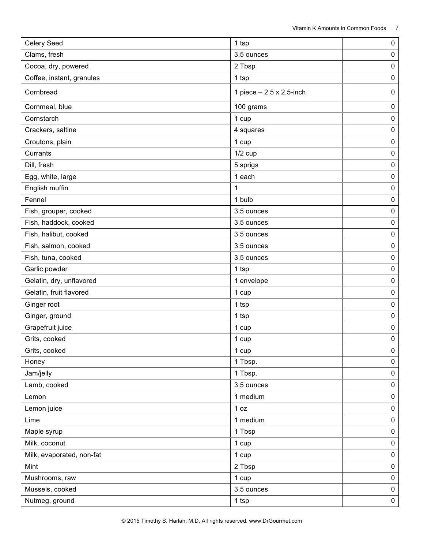| Celery Seed               | 1 tsp                    | 0         |
|---------------------------|--------------------------|-----------|
| Clams, fresh              | 3.5 ounces               | $\pmb{0}$ |
| Cocoa, dry, powered       | 2 Tbsp                   | $\pmb{0}$ |
| Coffee, instant, granules | 1 tsp                    | $\pmb{0}$ |
| Cornbread                 | 1 piece - 2.5 x 2.5-inch | 0         |
| Cornmeal, blue            | 100 grams                | 0         |
| Cornstarch                | 1 cup                    | $\pmb{0}$ |
| Crackers, saltine         | 4 squares                | $\pmb{0}$ |
| Croutons, plain           | 1 cup                    | $\pmb{0}$ |
| Currants                  | $1/2$ cup                | $\pmb{0}$ |
| Dill, fresh               | 5 sprigs                 | $\pmb{0}$ |
| Egg, white, large         | 1 each                   | $\pmb{0}$ |
| English muffin            | 1                        | $\pmb{0}$ |
| Fennel                    | 1 bulb                   | $\pmb{0}$ |
| Fish, grouper, cooked     | 3.5 ounces               | $\pmb{0}$ |
| Fish, haddock, cooked     | 3.5 ounces               | $\pmb{0}$ |
| Fish, halibut, cooked     | 3.5 ounces               | $\pmb{0}$ |
| Fish, salmon, cooked      | 3.5 ounces               | $\pmb{0}$ |
| Fish, tuna, cooked        | 3.5 ounces               | 0         |
| Garlic powder             | 1 tsp                    | $\pmb{0}$ |
| Gelatin, dry, unflavored  | 1 envelope               | $\pmb{0}$ |
| Gelatin, fruit flavored   | 1 cup                    | $\pmb{0}$ |
| Ginger root               | 1 tsp                    | $\pmb{0}$ |
| Ginger, ground            | 1 tsp                    | 0         |
| Grapefruit juice          | 1 cup                    | $\pmb{0}$ |
| Grits, cooked             | 1 cup                    | $\pmb{0}$ |
| Grits, cooked             | 1 cup                    | 0         |
| Honey                     | 1 Tbsp.                  | 0         |
| Jam/jelly                 | 1 Tbsp.                  | $\pmb{0}$ |
| Lamb, cooked              | 3.5 ounces               | 0         |
| Lemon                     | 1 medium                 | 0         |
| Lemon juice               | 1 oz                     | 0         |
| Lime                      | 1 medium                 | 0         |
| Maple syrup               | 1 Tbsp                   | $\pmb{0}$ |
| Milk, coconut             | 1 cup                    | 0         |
| Milk, evaporated, non-fat | 1 cup                    | 0         |
| Mint                      | 2 Tbsp                   | 0         |
| Mushrooms, raw            | 1 cup                    | 0         |
| Mussels, cooked           | 3.5 ounces               | 0         |
| Nutmeg, ground            | 1 tsp                    | 0         |